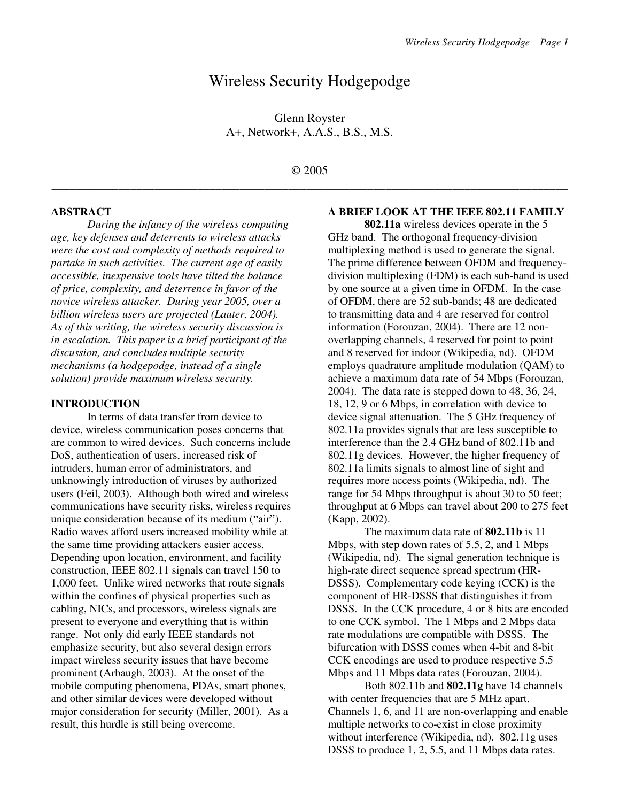# Wireless Security Hodgepodge

Glenn Royster A+, Network+, A.A.S., B.S., M.S.

# © 2005 \_\_\_\_\_\_\_\_\_\_\_\_\_\_\_\_\_\_\_\_\_\_\_\_\_\_\_\_\_\_\_\_\_\_\_\_\_\_\_\_\_\_\_\_\_\_\_\_\_\_\_\_\_\_\_\_\_\_\_\_\_\_\_\_\_\_\_\_\_\_\_\_\_\_\_\_\_\_\_\_\_\_\_\_\_

#### **ABSTRACT**

*During the infancy of the wireless computing age, key defenses and deterrents to wireless attacks were the cost and complexity of methods required to partake in such activities. The current age of easily accessible, inexpensive tools have tilted the balance of price, complexity, and deterrence in favor of the novice wireless attacker. During year 2005, over a billion wireless users are projected (Lauter, 2004). As of this writing, the wireless security discussion is in escalation. This paper is a brief participant of the discussion, and concludes multiple security mechanisms (a hodgepodge, instead of a single solution) provide maximum wireless security.* 

#### **INTRODUCTION**

In terms of data transfer from device to device, wireless communication poses concerns that are common to wired devices. Such concerns include DoS, authentication of users, increased risk of intruders, human error of administrators, and unknowingly introduction of viruses by authorized users (Feil, 2003). Although both wired and wireless communications have security risks, wireless requires unique consideration because of its medium ("air"). Radio waves afford users increased mobility while at the same time providing attackers easier access. Depending upon location, environment, and facility construction, IEEE 802.11 signals can travel 150 to 1,000 feet. Unlike wired networks that route signals within the confines of physical properties such as cabling, NICs, and processors, wireless signals are present to everyone and everything that is within range. Not only did early IEEE standards not emphasize security, but also several design errors impact wireless security issues that have become prominent (Arbaugh, 2003). At the onset of the mobile computing phenomena, PDAs, smart phones, and other similar devices were developed without major consideration for security (Miller, 2001). As a result, this hurdle is still being overcome.

#### **A BRIEF LOOK AT THE IEEE 802.11 FAMILY**

**802.11a** wireless devices operate in the 5 GHz band. The orthogonal frequency-division multiplexing method is used to generate the signal. The prime difference between OFDM and frequencydivision multiplexing (FDM) is each sub-band is used by one source at a given time in OFDM. In the case of OFDM, there are 52 sub-bands; 48 are dedicated to transmitting data and 4 are reserved for control information (Forouzan, 2004). There are 12 nonoverlapping channels, 4 reserved for point to point and 8 reserved for indoor (Wikipedia, nd). OFDM employs quadrature amplitude modulation (QAM) to achieve a maximum data rate of 54 Mbps (Forouzan, 2004). The data rate is stepped down to 48, 36, 24, 18, 12, 9 or 6 Mbps, in correlation with device to device signal attenuation. The 5 GHz frequency of 802.11a provides signals that are less susceptible to interference than the 2.4 GHz band of 802.11b and 802.11g devices. However, the higher frequency of 802.11a limits signals to almost line of sight and requires more access points (Wikipedia, nd). The range for 54 Mbps throughput is about 30 to 50 feet; throughput at 6 Mbps can travel about 200 to 275 feet (Kapp, 2002).

 The maximum data rate of **802.11b** is 11 Mbps, with step down rates of 5.5, 2, and 1 Mbps (Wikipedia, nd). The signal generation technique is high-rate direct sequence spread spectrum (HR-DSSS). Complementary code keying (CCK) is the component of HR-DSSS that distinguishes it from DSSS. In the CCK procedure, 4 or 8 bits are encoded to one CCK symbol. The 1 Mbps and 2 Mbps data rate modulations are compatible with DSSS. The bifurcation with DSSS comes when 4-bit and 8-bit CCK encodings are used to produce respective 5.5 Mbps and 11 Mbps data rates (Forouzan, 2004).

 Both 802.11b and **802.11g** have 14 channels with center frequencies that are 5 MHz apart. Channels 1, 6, and 11 are non-overlapping and enable multiple networks to co-exist in close proximity without interference (Wikipedia, nd). 802.11g uses DSSS to produce 1, 2, 5.5, and 11 Mbps data rates.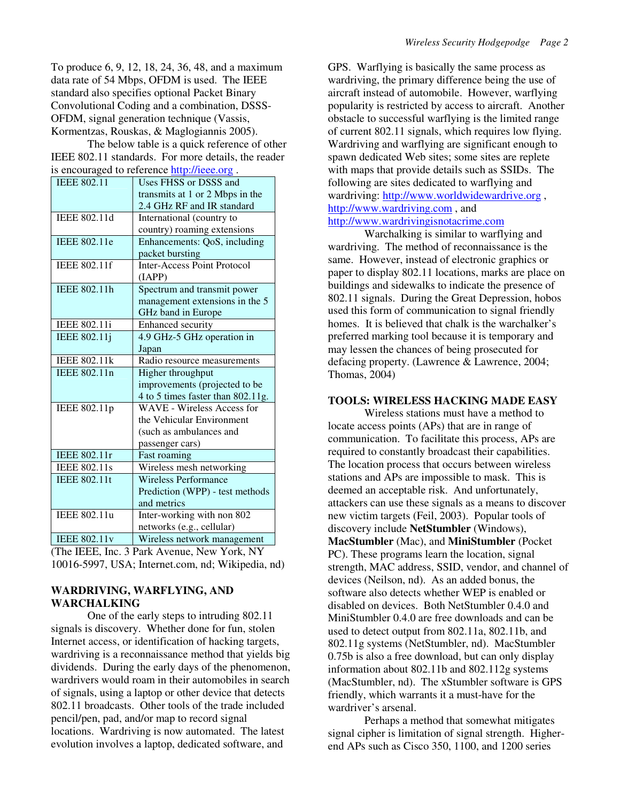To produce 6, 9, 12, 18, 24, 36, 48, and a maximum data rate of 54 Mbps, OFDM is used. The IEEE standard also specifies optional Packet Binary Convolutional Coding and a combination, DSSS-OFDM, signal generation technique (Vassis, Kormentzas, Rouskas, & Maglogiannis 2005).

The below table is a quick reference of other IEEE 802.11 standards. For more details, the reader is encouraged to reference http://ieee.org .

| IEEE 802.11         | Uses FHSS or DSSS and              |
|---------------------|------------------------------------|
|                     | transmits at 1 or 2 Mbps in the    |
|                     | 2.4 GHz RF and IR standard         |
| IEEE 802.11d        | International (country to          |
|                     | country) roaming extensions        |
| <b>IEEE 802.11e</b> | Enhancements: QoS, including       |
|                     | packet bursting                    |
| <b>IEEE 802.11f</b> | <b>Inter-Access Point Protocol</b> |
|                     | (IAPP)                             |
| IEEE 802.11h        | Spectrum and transmit power        |
|                     | management extensions in the 5     |
|                     | GHz band in Europe                 |
| IEEE 802.11i        | Enhanced security                  |
| <b>IEEE 802.11j</b> | 4.9 GHz-5 GHz operation in         |
|                     | Japan                              |
| <b>IEEE 802.11k</b> | Radio resource measurements        |
| IEEE 802.11n        | Higher throughput                  |
|                     | improvements (projected to be      |
|                     | 4 to 5 times faster than 802.11g.  |
| IEEE 802.11p        | <b>WAVE</b> - Wireless Access for  |
|                     | the Vehicular Environment          |
|                     | (such as ambulances and            |
|                     | passenger cars)                    |
| <b>IEEE 802.11r</b> | Fast roaming                       |
| IEEE 802.11s        | Wireless mesh networking           |
| <b>IEEE 802.11t</b> | <b>Wireless Performance</b>        |
|                     | Prediction (WPP) - test methods    |
|                     | and metrics                        |
| IEEE 802.11u        | Inter-working with non 802         |
|                     | networks (e.g., cellular)          |
| <b>IEEE 802.11v</b> | Wireless network management        |

(The IEEE, Inc. 3 Park Avenue, New York, NY 10016-5997, USA; Internet.com, nd; Wikipedia, nd)

### **WARDRIVING, WARFLYING, AND WARCHALKING**

 One of the early steps to intruding 802.11 signals is discovery. Whether done for fun, stolen Internet access, or identification of hacking targets, wardriving is a reconnaissance method that yields big dividends. During the early days of the phenomenon, wardrivers would roam in their automobiles in search of signals, using a laptop or other device that detects 802.11 broadcasts. Other tools of the trade included pencil/pen, pad, and/or map to record signal locations. Wardriving is now automated. The latest evolution involves a laptop, dedicated software, and

GPS. Warflying is basically the same process as wardriving, the primary difference being the use of aircraft instead of automobile. However, warflying popularity is restricted by access to aircraft. Another obstacle to successful warflying is the limited range of current 802.11 signals, which requires low flying. Wardriving and warflying are significant enough to spawn dedicated Web sites; some sites are replete with maps that provide details such as SSIDs. The following are sites dedicated to warflying and wardriving: http://www.worldwidewardrive.org , http://www.wardriving.com , and http://www.wardrivingisnotacrime.com

Warchalking is similar to warflying and wardriving. The method of reconnaissance is the same. However, instead of electronic graphics or paper to display 802.11 locations, marks are place on buildings and sidewalks to indicate the presence of 802.11 signals. During the Great Depression, hobos used this form of communication to signal friendly homes. It is believed that chalk is the warchalker's preferred marking tool because it is temporary and may lessen the chances of being prosecuted for defacing property. (Lawrence & Lawrence, 2004; Thomas, 2004)

#### **TOOLS: WIRELESS HACKING MADE EASY**

 Wireless stations must have a method to locate access points (APs) that are in range of communication. To facilitate this process, APs are required to constantly broadcast their capabilities. The location process that occurs between wireless stations and APs are impossible to mask. This is deemed an acceptable risk. And unfortunately, attackers can use these signals as a means to discover new victim targets (Feil, 2003). Popular tools of discovery include **NetStumbler** (Windows), **MacStumbler** (Mac), and **MiniStumbler** (Pocket PC). These programs learn the location, signal strength, MAC address, SSID, vendor, and channel of devices (Neilson, nd). As an added bonus, the software also detects whether WEP is enabled or disabled on devices. Both NetStumbler 0.4.0 and MiniStumbler 0.4.0 are free downloads and can be used to detect output from 802.11a, 802.11b, and 802.11g systems (NetStumbler, nd). MacStumbler 0.75b is also a free download, but can only display information about 802.11b and 802.112g systems (MacStumbler, nd). The xStumbler software is GPS friendly, which warrants it a must-have for the wardriver's arsenal.

 Perhaps a method that somewhat mitigates signal cipher is limitation of signal strength. Higherend APs such as Cisco 350, 1100, and 1200 series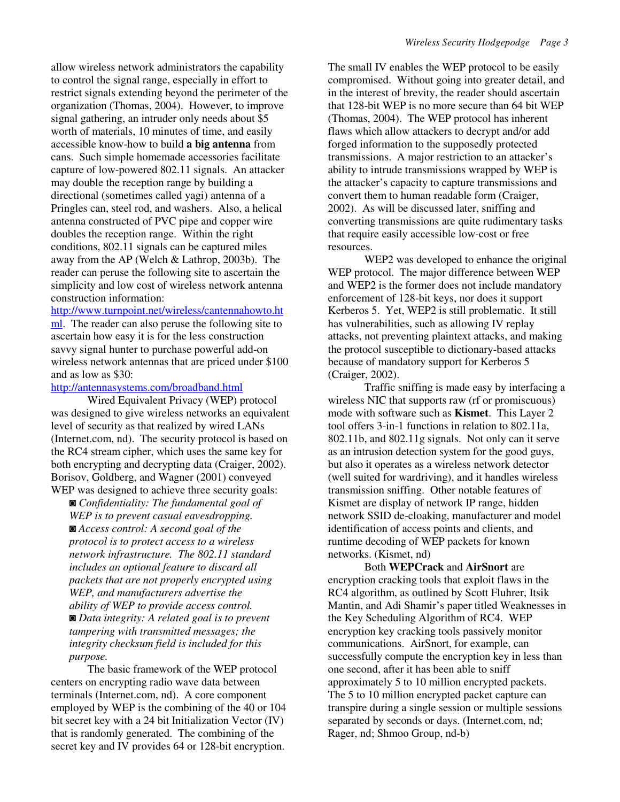allow wireless network administrators the capability to control the signal range, especially in effort to restrict signals extending beyond the perimeter of the organization (Thomas, 2004). However, to improve signal gathering, an intruder only needs about \$5 worth of materials, 10 minutes of time, and easily accessible know-how to build **a big antenna** from cans. Such simple homemade accessories facilitate capture of low-powered 802.11 signals. An attacker may double the reception range by building a directional (sometimes called yagi) antenna of a Pringles can, steel rod, and washers. Also, a helical antenna constructed of PVC pipe and copper wire doubles the reception range. Within the right conditions, 802.11 signals can be captured miles away from the AP (Welch & Lathrop, 2003b). The reader can peruse the following site to ascertain the simplicity and low cost of wireless network antenna construction information:

http://www.turnpoint.net/wireless/cantennahowto.ht

ml. The reader can also peruse the following site to ascertain how easy it is for the less construction savvy signal hunter to purchase powerful add-on wireless network antennas that are priced under \$100 and as low as \$30:

#### http://antennasystems.com/broadband.html

Wired Equivalent Privacy (WEP) protocol was designed to give wireless networks an equivalent level of security as that realized by wired LANs (Internet.com, nd). The security protocol is based on the RC4 stream cipher, which uses the same key for both encrypting and decrypting data (Craiger, 2002). Borisov, Goldberg, and Wagner (2001) conveyed WEP was designed to achieve three security goals:

◙ *Confidentiality: The fundamental goal of WEP is to prevent casual eavesdropping.*  ◙ *Access control: A second goal of the protocol is to protect access to a wireless network infrastructure. The 802.11 standard includes an optional feature to discard all packets that are not properly encrypted using WEP, and manufacturers advertise the ability of WEP to provide access control.*  ◙ *Data integrity: A related goal is to prevent tampering with transmitted messages; the integrity checksum field is included for this purpose.* 

The basic framework of the WEP protocol centers on encrypting radio wave data between terminals (Internet.com, nd). A core component employed by WEP is the combining of the 40 or 104 bit secret key with a 24 bit Initialization Vector (IV) that is randomly generated. The combining of the secret key and IV provides 64 or 128-bit encryption.

The small IV enables the WEP protocol to be easily compromised. Without going into greater detail, and in the interest of brevity, the reader should ascertain that 128-bit WEP is no more secure than 64 bit WEP (Thomas, 2004). The WEP protocol has inherent flaws which allow attackers to decrypt and/or add forged information to the supposedly protected transmissions. A major restriction to an attacker's ability to intrude transmissions wrapped by WEP is the attacker's capacity to capture transmissions and convert them to human readable form (Craiger, 2002). As will be discussed later, sniffing and converting transmissions are quite rudimentary tasks that require easily accessible low-cost or free resources.

WEP2 was developed to enhance the original WEP protocol. The major difference between WEP and WEP2 is the former does not include mandatory enforcement of 128-bit keys, nor does it support Kerberos 5. Yet, WEP2 is still problematic. It still has vulnerabilities, such as allowing IV replay attacks, not preventing plaintext attacks, and making the protocol susceptible to dictionary-based attacks because of mandatory support for Kerberos 5 (Craiger, 2002).

Traffic sniffing is made easy by interfacing a wireless NIC that supports raw (rf or promiscuous) mode with software such as **Kismet**. This Layer 2 tool offers 3-in-1 functions in relation to 802.11a, 802.11b, and 802.11g signals. Not only can it serve as an intrusion detection system for the good guys, but also it operates as a wireless network detector (well suited for wardriving), and it handles wireless transmission sniffing. Other notable features of Kismet are display of network IP range, hidden network SSID de-cloaking, manufacturer and model identification of access points and clients, and runtime decoding of WEP packets for known networks. (Kismet, nd)

Both **WEPCrack** and **AirSnort** are encryption cracking tools that exploit flaws in the RC4 algorithm, as outlined by Scott Fluhrer, Itsik Mantin, and Adi Shamir's paper titled Weaknesses in the Key Scheduling Algorithm of RC4. WEP encryption key cracking tools passively monitor communications. AirSnort, for example, can successfully compute the encryption key in less than one second, after it has been able to sniff approximately 5 to 10 million encrypted packets. The 5 to 10 million encrypted packet capture can transpire during a single session or multiple sessions separated by seconds or days. (Internet.com, nd; Rager, nd; Shmoo Group, nd-b)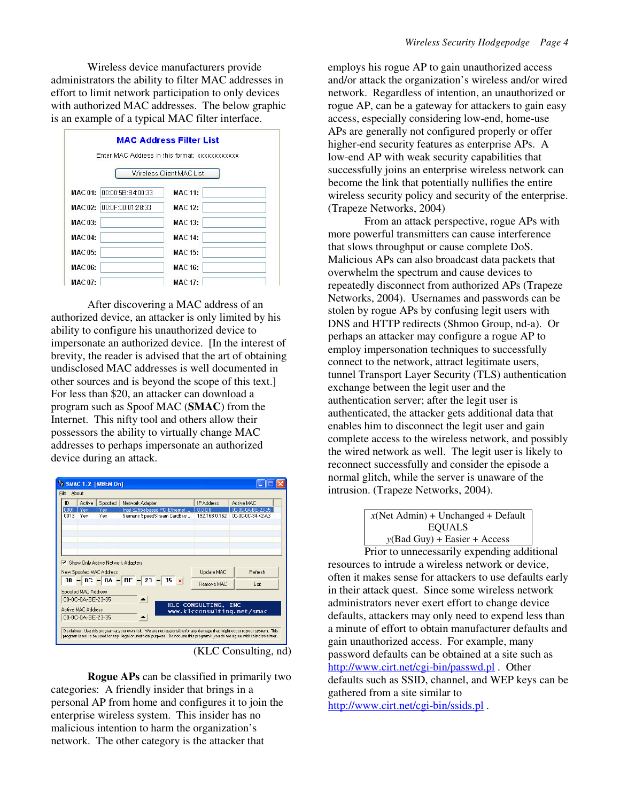Wireless device manufacturers provide administrators the ability to filter MAC addresses in effort to limit network participation to only devices with authorized MAC addresses. The below graphic is an example of a typical MAC filter interface.



After discovering a MAC address of an authorized device, an attacker is only limited by his ability to configure his unauthorized device to impersonate an authorized device. [In the interest of brevity, the reader is advised that the art of obtaining undisclosed MAC addresses is well documented in other sources and is beyond the scope of this text.] For less than \$20, an attacker can download a program such as Spoof MAC (**SMAC**) from the Internet. This nifty tool and others allow their possessors the ability to virtually change MAC addresses to perhaps impersonate an authorized device during an attack.

| ID    | Active                                   | Spoofed                           | Network Adapter                | IP Address          | Active MAC                 |
|-------|------------------------------------------|-----------------------------------|--------------------------------|---------------------|----------------------------|
| 10001 | Yes                                      | Yes                               | Intel 8255x-based PCI Ethernet | 0.0.0.0             | 00-0C-0A-BE-23-35          |
| 0013  | Yes                                      | Yes                               | Siemens SpeedStream CardBus    | 192.168.0.162       | 00-0C-0C-34-42-A3          |
|       |                                          | Show Only Active Network Adapters |                                |                     |                            |
|       |                                          | New Spoofed MAC Address           |                                | <b>Update MAC</b>   | <b>Befresh</b>             |
|       |                                          |                                   | 00 - 0C - 0A - BE - 23 - 35 x  | <b>Bemove MAC</b>   | Exit                       |
|       | Spoofed MAC Address<br>00-0C-0A-BE-23-35 |                                   |                                |                     |                            |
|       | Active MAC Address                       |                                   |                                | KLC CONSULTING, INC | www.klcconsulting.net/smac |
|       | 00-0C-0A-BE-23-35                        |                                   |                                |                     |                            |

(KLC Consulting, nd)

**Rogue APs** can be classified in primarily two categories: A friendly insider that brings in a personal AP from home and configures it to join the enterprise wireless system. This insider has no malicious intention to harm the organization's network. The other category is the attacker that

employs his rogue AP to gain unauthorized access and/or attack the organization's wireless and/or wired network. Regardless of intention, an unauthorized or rogue AP, can be a gateway for attackers to gain easy access, especially considering low-end, home-use APs are generally not configured properly or offer higher-end security features as enterprise APs. A low-end AP with weak security capabilities that successfully joins an enterprise wireless network can become the link that potentially nullifies the entire wireless security policy and security of the enterprise. (Trapeze Networks, 2004)

From an attack perspective, rogue APs with more powerful transmitters can cause interference that slows throughput or cause complete DoS. Malicious APs can also broadcast data packets that overwhelm the spectrum and cause devices to repeatedly disconnect from authorized APs (Trapeze Networks, 2004). Usernames and passwords can be stolen by rogue APs by confusing legit users with DNS and HTTP redirects (Shmoo Group, nd-a). Or perhaps an attacker may configure a rogue AP to employ impersonation techniques to successfully connect to the network, attract legitimate users, tunnel Transport Layer Security (TLS) authentication exchange between the legit user and the authentication server; after the legit user is authenticated, the attacker gets additional data that enables him to disconnect the legit user and gain complete access to the wireless network, and possibly the wired network as well. The legit user is likely to reconnect successfully and consider the episode a normal glitch, while the server is unaware of the intrusion. (Trapeze Networks, 2004).

> $x$ (Net Admin) + Unchanged + Default EQUALS *y*(Bad Guy) + Easier + Access

 Prior to unnecessarily expending additional resources to intrude a wireless network or device, often it makes sense for attackers to use defaults early in their attack quest. Since some wireless network administrators never exert effort to change device defaults, attackers may only need to expend less than a minute of effort to obtain manufacturer defaults and gain unauthorized access. For example, many password defaults can be obtained at a site such as http://www.cirt.net/cgi-bin/passwd.pl . Other defaults such as SSID, channel, and WEP keys can be gathered from a site similar to http://www.cirt.net/cgi-bin/ssids.pl .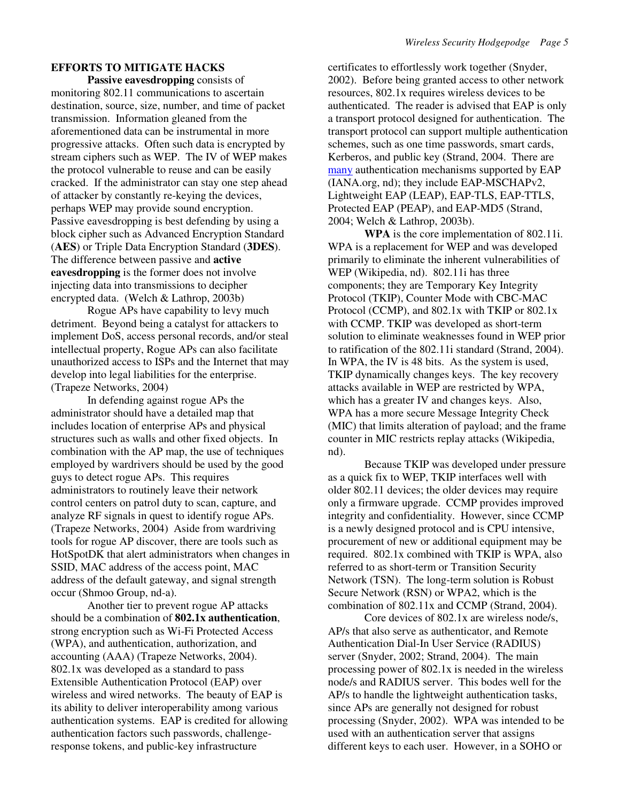# **EFFORTS TO MITIGATE HACKS**

**Passive eavesdropping** consists of monitoring 802.11 communications to ascertain destination, source, size, number, and time of packet transmission. Information gleaned from the aforementioned data can be instrumental in more progressive attacks. Often such data is encrypted by stream ciphers such as WEP. The IV of WEP makes the protocol vulnerable to reuse and can be easily cracked. If the administrator can stay one step ahead of attacker by constantly re-keying the devices, perhaps WEP may provide sound encryption. Passive eavesdropping is best defending by using a block cipher such as Advanced Encryption Standard (**AES**) or Triple Data Encryption Standard (**3DES**). The difference between passive and **active eavesdropping** is the former does not involve injecting data into transmissions to decipher encrypted data. (Welch & Lathrop, 2003b)

 Rogue APs have capability to levy much detriment. Beyond being a catalyst for attackers to implement DoS, access personal records, and/or steal intellectual property, Rogue APs can also facilitate unauthorized access to ISPs and the Internet that may develop into legal liabilities for the enterprise. (Trapeze Networks, 2004)

In defending against rogue APs the administrator should have a detailed map that includes location of enterprise APs and physical structures such as walls and other fixed objects. In combination with the AP map, the use of techniques employed by wardrivers should be used by the good guys to detect rogue APs. This requires administrators to routinely leave their network control centers on patrol duty to scan, capture, and analyze RF signals in quest to identify rogue APs. (Trapeze Networks, 2004) Aside from wardriving tools for rogue AP discover, there are tools such as HotSpotDK that alert administrators when changes in SSID, MAC address of the access point, MAC address of the default gateway, and signal strength occur (Shmoo Group, nd-a).

Another tier to prevent rogue AP attacks should be a combination of **802.1x authentication**, strong encryption such as Wi-Fi Protected Access (WPA), and authentication, authorization, and accounting (AAA) (Trapeze Networks, 2004). 802.1x was developed as a standard to pass Extensible Authentication Protocol (EAP) over wireless and wired networks. The beauty of EAP is its ability to deliver interoperability among various authentication systems. EAP is credited for allowing authentication factors such passwords, challengeresponse tokens, and public-key infrastructure

certificates to effortlessly work together (Snyder, 2002). Before being granted access to other network resources, 802.1x requires wireless devices to be authenticated. The reader is advised that EAP is only a transport protocol designed for authentication. The transport protocol can support multiple authentication schemes, such as one time passwords, smart cards, Kerberos, and public key (Strand, 2004. There are many authentication mechanisms supported by EAP (IANA.org, nd); they include EAP-MSCHAPv2, Lightweight EAP (LEAP), EAP-TLS, EAP-TTLS, Protected EAP (PEAP), and EAP-MD5 (Strand, 2004; Welch & Lathrop, 2003b).

**WPA** is the core implementation of 802.11i. WPA is a replacement for WEP and was developed primarily to eliminate the inherent vulnerabilities of WEP (Wikipedia, nd). 802.11i has three components; they are Temporary Key Integrity Protocol (TKIP), Counter Mode with CBC-MAC Protocol (CCMP), and 802.1x with TKIP or 802.1x with CCMP. TKIP was developed as short-term solution to eliminate weaknesses found in WEP prior to ratification of the 802.11i standard (Strand, 2004). In WPA, the IV is 48 bits. As the system is used, TKIP dynamically changes keys. The key recovery attacks available in WEP are restricted by WPA, which has a greater IV and changes keys. Also, WPA has a more secure Message Integrity Check (MIC) that limits alteration of payload; and the frame counter in MIC restricts replay attacks (Wikipedia, nd).

Because TKIP was developed under pressure as a quick fix to WEP, TKIP interfaces well with older 802.11 devices; the older devices may require only a firmware upgrade. CCMP provides improved integrity and confidentiality. However, since CCMP is a newly designed protocol and is CPU intensive, procurement of new or additional equipment may be required. 802.1x combined with TKIP is WPA, also referred to as short-term or Transition Security Network (TSN). The long-term solution is Robust Secure Network (RSN) or WPA2, which is the combination of 802.11x and CCMP (Strand, 2004).

Core devices of 802.1x are wireless node/s, AP/s that also serve as authenticator, and Remote Authentication Dial-In User Service (RADIUS) server (Snyder, 2002; Strand, 2004). The main processing power of 802.1x is needed in the wireless node/s and RADIUS server. This bodes well for the AP/s to handle the lightweight authentication tasks, since APs are generally not designed for robust processing (Snyder, 2002). WPA was intended to be used with an authentication server that assigns different keys to each user. However, in a SOHO or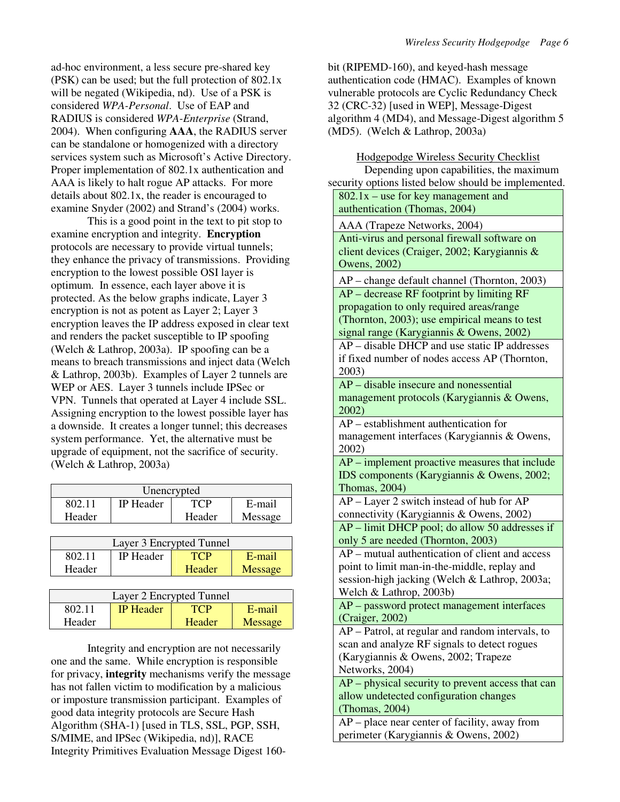ad-hoc environment, a less secure pre-shared key (PSK) can be used; but the full protection of 802.1x will be negated (Wikipedia, nd). Use of a PSK is considered *WPA-Personal*. Use of EAP and RADIUS is considered *WPA-Enterprise* (Strand, 2004). When configuring **AAA**, the RADIUS server can be standalone or homogenized with a directory services system such as Microsoft's Active Directory. Proper implementation of 802.1x authentication and AAA is likely to halt rogue AP attacks. For more details about 802.1x, the reader is encouraged to examine Snyder (2002) and Strand's (2004) works.

This is a good point in the text to pit stop to examine encryption and integrity. **Encryption** protocols are necessary to provide virtual tunnels; they enhance the privacy of transmissions. Providing encryption to the lowest possible OSI layer is optimum. In essence, each layer above it is protected. As the below graphs indicate, Layer 3 encryption is not as potent as Layer 2; Layer 3 encryption leaves the IP address exposed in clear text and renders the packet susceptible to IP spoofing (Welch & Lathrop, 2003a). IP spoofing can be a means to breach transmissions and inject data (Welch & Lathrop, 2003b). Examples of Layer 2 tunnels are WEP or AES. Layer 3 tunnels include IPSec or VPN. Tunnels that operated at Layer 4 include SSL. Assigning encryption to the lowest possible layer has a downside. It creates a longer tunnel; this decreases system performance. Yet, the alternative must be upgrade of equipment, not the sacrifice of security. (Welch & Lathrop, 2003a)

| Unencrypted |                  |        |         |
|-------------|------------------|--------|---------|
| 802.11      | <b>IP</b> Header | TCP    | E-mail  |
| Header      |                  | Header | Message |

| Layer 3 Encrypted Tunnel |                  |        |         |
|--------------------------|------------------|--------|---------|
| 802.11                   | <b>IP</b> Header |        | E-mail  |
| Header                   |                  | Header | Message |

| Layer 2 Encrypted Tunnel |                  |        |         |
|--------------------------|------------------|--------|---------|
| 802.11                   | <b>IP</b> Header | TC P   | E-mail  |
| Header                   |                  | Header | Message |

 Integrity and encryption are not necessarily one and the same. While encryption is responsible for privacy, **integrity** mechanisms verify the message has not fallen victim to modification by a malicious or imposture transmission participant. Examples of good data integrity protocols are Secure Hash Algorithm (SHA-1) [used in TLS, SSL, PGP, SSH, S/MIME, and IPSec (Wikipedia, nd)], RACE Integrity Primitives Evaluation Message Digest 160bit (RIPEMD-160), and keyed-hash message authentication code (HMAC). Examples of known vulnerable protocols are Cyclic Redundancy Check 32 (CRC-32) [used in WEP], Message-Digest algorithm 4 (MD4), and Message-Digest algorithm 5 (MD5). (Welch & Lathrop, 2003a)

Hodgepodge Wireless Security Checklist

Depending upon capabilities, the maximum security options listed below should be implemented.

| curity options listed below should be implemented   |
|-----------------------------------------------------|
| $802.1x$ – use for key management and               |
| authentication (Thomas, 2004)                       |
| AAA (Trapeze Networks, 2004)                        |
| Anti-virus and personal firewall software on        |
| client devices (Craiger, 2002; Karygiannis &        |
| Owens, 2002)                                        |
| AP - change default channel (Thornton, 2003)        |
| $AP - decrease$ RF footprint by limiting RF         |
| propagation to only required areas/range            |
| (Thornton, 2003); use empirical means to test       |
| signal range (Karygiannis & Owens, 2002)            |
| AP – disable DHCP and use static IP addresses       |
| if fixed number of nodes access AP (Thornton,       |
| 2003)                                               |
| $AP$ – disable insecure and nonessential            |
| management protocols (Karygiannis & Owens,          |
| 2002)                                               |
| AP – establishment authentication for               |
| management interfaces (Karygiannis & Owens,         |
| 2002)                                               |
| AP – implement proactive measures that include      |
| IDS components (Karygiannis & Owens, 2002;          |
| Thomas, 2004)                                       |
| AP – Layer 2 switch instead of hub for AP           |
| connectivity (Karygiannis & Owens, 2002)            |
| AP - limit DHCP pool; do allow 50 addresses if      |
| only 5 are needed (Thornton, 2003)                  |
| AP – mutual authentication of client and access     |
| point to limit man-in-the-middle, replay and        |
| session-high jacking (Welch & Lathrop, 2003a;       |
| Welch & Lathrop, 2003b)                             |
| AP - password protect management interfaces         |
| (Craiger, 2002)                                     |
| AP - Patrol, at regular and random intervals, to    |
| scan and analyze RF signals to detect rogues        |
| (Karygiannis & Owens, 2002; Trapeze                 |
| Networks, 2004)                                     |
| $AP$ – physical security to prevent access that can |
| allow undetected configuration changes              |
| (Thomas, 2004)                                      |
| AP – place near center of facility, away from       |
| perimeter (Karygiannis & Owens, 2002)               |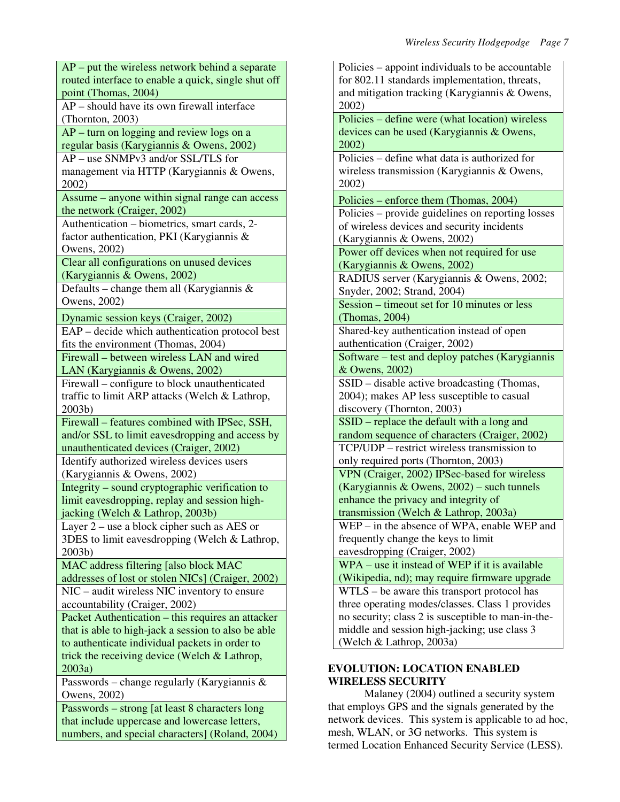AP – put the wireless network behind a separate routed interface to enable a quick, single shut off point (Thomas, 2004) AP – should have its own firewall interface (Thornton, 2003) AP – turn on logging and review logs on a regular basis (Karygiannis & Owens, 2002) AP – use SNMPv3 and/or SSL/TLS for management via HTTP (Karygiannis & Owens, 2002) Assume – anyone within signal range can access the network (Craiger, 2002) Authentication – biometrics, smart cards, 2 factor authentication, PKI (Karygiannis & Owens, 2002) Clear all configurations on unused devices (Karygiannis & Owens, 2002) Defaults – change them all (Karygiannis  $\&$ Owens, 2002) Dynamic session keys (Craiger, 2002) EAP – decide which authentication protocol best fits the environment (Thomas, 2004) Firewall – between wireless LAN and wired LAN (Karygiannis & Owens, 2002) Firewall – configure to block unauthenticated traffic to limit ARP attacks (Welch & Lathrop, 2003b) Firewall – features combined with IPSec, SSH, and/or SSL to limit eavesdropping and access by unauthenticated devices (Craiger, 2002) Identify authorized wireless devices users (Karygiannis & Owens, 2002) Integrity – sound cryptographic verification to limit eavesdropping, replay and session highjacking (Welch & Lathrop, 2003b) Layer 2 – use a block cipher such as AES or 3DES to limit eavesdropping (Welch & Lathrop, 2003b) MAC address filtering [also block MAC addresses of lost or stolen NICs] (Craiger, 2002) NIC – audit wireless NIC inventory to ensure accountability (Craiger, 2002) Packet Authentication – this requires an attacker that is able to high-jack a session to also be able to authenticate individual packets in order to trick the receiving device (Welch & Lathrop, 2003a) Passwords – change regularly (Karygiannis & Owens, 2002) Passwords – strong [at least 8 characters long that include uppercase and lowercase letters,

numbers, and special characters] (Roland, 2004)

Policies – appoint individuals to be accountable for 802.11 standards implementation, threats, and mitigation tracking (Karygiannis & Owens, 2002) Policies – define were (what location) wireless devices can be used (Karygiannis & Owens, 2002) Policies – define what data is authorized for wireless transmission (Karygiannis & Owens, 2002) Policies – enforce them (Thomas, 2004) Policies – provide guidelines on reporting losses of wireless devices and security incidents (Karygiannis & Owens, 2002) Power off devices when not required for use (Karygiannis & Owens, 2002) RADIUS server (Karygiannis & Owens, 2002; Snyder, 2002; Strand, 2004) Session – timeout set for 10 minutes or less (Thomas, 2004) Shared-key authentication instead of open authentication (Craiger, 2002) Software – test and deploy patches (Karygiannis & Owens, 2002) SSID – disable active broadcasting (Thomas, 2004); makes AP less susceptible to casual discovery (Thornton, 2003) SSID – replace the default with a long and random sequence of characters (Craiger, 2002) TCP/UDP – restrict wireless transmission to only required ports (Thornton, 2003) VPN (Craiger, 2002) IPSec-based for wireless (Karygiannis & Owens, 2002) – such tunnels enhance the privacy and integrity of transmission (Welch & Lathrop, 2003a) WEP – in the absence of WPA, enable WEP and frequently change the keys to limit eavesdropping (Craiger, 2002) WPA – use it instead of WEP if it is available (Wikipedia, nd); may require firmware upgrade WTLS – be aware this transport protocol has three operating modes/classes. Class 1 provides no security; class 2 is susceptible to man-in-themiddle and session high-jacking; use class 3 (Welch & Lathrop, 2003a)

# **EVOLUTION: LOCATION ENABLED WIRELESS SECURITY**

 Malaney (2004) outlined a security system that employs GPS and the signals generated by the network devices. This system is applicable to ad hoc, mesh, WLAN, or 3G networks. This system is termed Location Enhanced Security Service (LESS).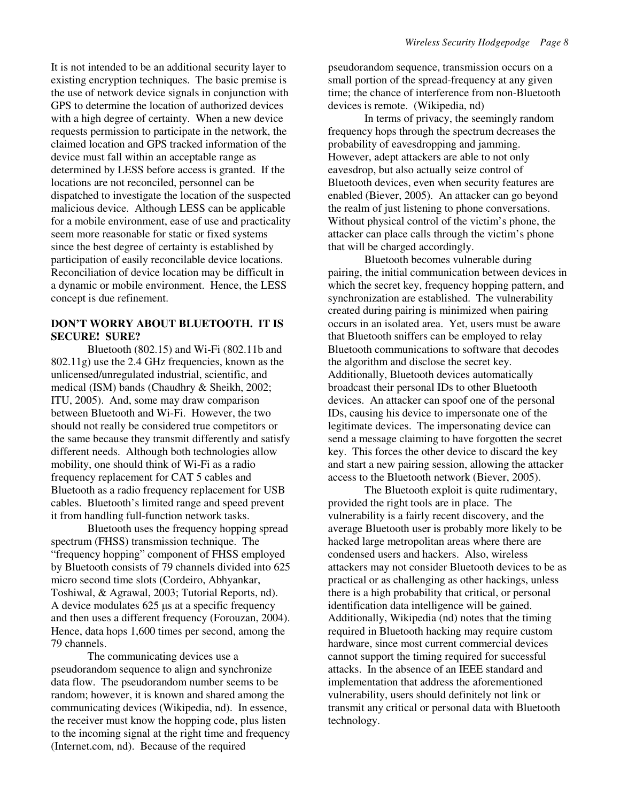It is not intended to be an additional security layer to existing encryption techniques. The basic premise is the use of network device signals in conjunction with GPS to determine the location of authorized devices with a high degree of certainty. When a new device requests permission to participate in the network, the claimed location and GPS tracked information of the device must fall within an acceptable range as determined by LESS before access is granted. If the locations are not reconciled, personnel can be dispatched to investigate the location of the suspected malicious device. Although LESS can be applicable for a mobile environment, ease of use and practicality seem more reasonable for static or fixed systems since the best degree of certainty is established by participation of easily reconcilable device locations. Reconciliation of device location may be difficult in a dynamic or mobile environment. Hence, the LESS concept is due refinement.

### **DON'T WORRY ABOUT BLUETOOTH. IT IS SECURE! SURE?**

Bluetooth (802.15) and Wi-Fi (802.11b and 802.11g) use the 2.4 GHz frequencies, known as the unlicensed/unregulated industrial, scientific, and medical (ISM) bands (Chaudhry & Sheikh, 2002; ITU, 2005). And, some may draw comparison between Bluetooth and Wi-Fi. However, the two should not really be considered true competitors or the same because they transmit differently and satisfy different needs. Although both technologies allow mobility, one should think of Wi-Fi as a radio frequency replacement for CAT 5 cables and Bluetooth as a radio frequency replacement for USB cables. Bluetooth's limited range and speed prevent it from handling full-function network tasks.

Bluetooth uses the frequency hopping spread spectrum (FHSS) transmission technique. The "frequency hopping" component of FHSS employed by Bluetooth consists of 79 channels divided into 625 micro second time slots (Cordeiro, Abhyankar, Toshiwal, & Agrawal, 2003; Tutorial Reports, nd). A device modulates 625 µs at a specific frequency and then uses a different frequency (Forouzan, 2004). Hence, data hops 1,600 times per second, among the 79 channels.

The communicating devices use a pseudorandom sequence to align and synchronize data flow. The pseudorandom number seems to be random; however, it is known and shared among the communicating devices (Wikipedia, nd). In essence, the receiver must know the hopping code, plus listen to the incoming signal at the right time and frequency (Internet.com, nd). Because of the required

pseudorandom sequence, transmission occurs on a small portion of the spread-frequency at any given time; the chance of interference from non-Bluetooth devices is remote. (Wikipedia, nd)

In terms of privacy, the seemingly random frequency hops through the spectrum decreases the probability of eavesdropping and jamming. However, adept attackers are able to not only eavesdrop, but also actually seize control of Bluetooth devices, even when security features are enabled (Biever, 2005). An attacker can go beyond the realm of just listening to phone conversations. Without physical control of the victim's phone, the attacker can place calls through the victim's phone that will be charged accordingly.

Bluetooth becomes vulnerable during pairing, the initial communication between devices in which the secret key, frequency hopping pattern, and synchronization are established. The vulnerability created during pairing is minimized when pairing occurs in an isolated area. Yet, users must be aware that Bluetooth sniffers can be employed to relay Bluetooth communications to software that decodes the algorithm and disclose the secret key. Additionally, Bluetooth devices automatically broadcast their personal IDs to other Bluetooth devices. An attacker can spoof one of the personal IDs, causing his device to impersonate one of the legitimate devices. The impersonating device can send a message claiming to have forgotten the secret key. This forces the other device to discard the key and start a new pairing session, allowing the attacker access to the Bluetooth network (Biever, 2005).

The Bluetooth exploit is quite rudimentary, provided the right tools are in place. The vulnerability is a fairly recent discovery, and the average Bluetooth user is probably more likely to be hacked large metropolitan areas where there are condensed users and hackers. Also, wireless attackers may not consider Bluetooth devices to be as practical or as challenging as other hackings, unless there is a high probability that critical, or personal identification data intelligence will be gained. Additionally, Wikipedia (nd) notes that the timing required in Bluetooth hacking may require custom hardware, since most current commercial devices cannot support the timing required for successful attacks. In the absence of an IEEE standard and implementation that address the aforementioned vulnerability, users should definitely not link or transmit any critical or personal data with Bluetooth technology.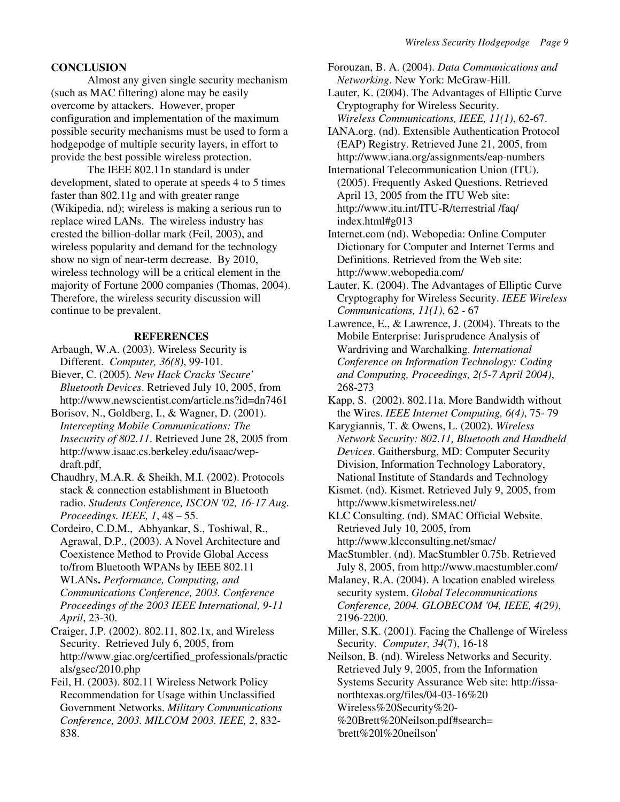# **CONCLUSION**

Almost any given single security mechanism (such as MAC filtering) alone may be easily overcome by attackers. However, proper configuration and implementation of the maximum possible security mechanisms must be used to form a hodgepodge of multiple security layers, in effort to provide the best possible wireless protection.

The IEEE 802.11n standard is under development, slated to operate at speeds 4 to 5 times faster than 802.11g and with greater range (Wikipedia, nd); wireless is making a serious run to replace wired LANs. The wireless industry has crested the billion-dollar mark (Feil, 2003), and wireless popularity and demand for the technology show no sign of near-term decrease. By 2010, wireless technology will be a critical element in the majority of Fortune 2000 companies (Thomas, 2004). Therefore, the wireless security discussion will continue to be prevalent.

# **REFERENCES**

- Arbaugh, W.A. (2003). Wireless Security is Different.*Computer, 36(8)*, 99-101.
- Biever, C. (2005)*. New Hack Cracks 'Secure' Bluetooth Devices*. Retrieved July 10, 2005, from http://www.newscientist.com/article.ns?id=dn7461
- Borisov, N., Goldberg, I., & Wagner, D. (2001). *Intercepting Mobile Communications: The Insecurity of 802.11*. Retrieved June 28, 2005 from http://www.isaac.cs.berkeley.edu/isaac/wepdraft.pdf,
- Chaudhry, M.A.R. & Sheikh, M.I. (2002). Protocols stack & connection establishment in Bluetooth radio. *Students Conference, ISCON '02, 16-17 Aug. Proceedings. IEEE, 1*, 48 – 55.

Cordeiro, C.D.M., Abhyankar, S., Toshiwal, R., Agrawal, D.P., (2003). A Novel Architecture and Coexistence Method to Provide Global Access to/from Bluetooth WPANs by IEEE 802.11 WLANs**.** *Performance, Computing, and Communications Conference, 2003. Conference Proceedings of the 2003 IEEE International, 9-11 April*, 23-30.

Craiger, J.P. (2002). 802.11, 802.1x, and Wireless Security. Retrieved July 6, 2005, from http://www.giac.org/certified\_professionals/practic als/gsec/2010.php

Feil, H. (2003). 802.11 Wireless Network Policy Recommendation for Usage within Unclassified Government Networks. *Military Communications Conference, 2003. MILCOM 2003. IEEE, 2*, 832- 838.

Forouzan, B. A. (2004). *Data Communications and Networking*. New York: McGraw-Hill.

Lauter, K. (2004). The Advantages of Elliptic Curve Cryptography for Wireless Security. *Wireless Communications, IEEE, 11(1)*, 62-67.

IANA.org. (nd). Extensible Authentication Protocol (EAP) Registry. Retrieved June 21, 2005, from http://www.iana.org/assignments/eap-numbers

International Telecommunication Union (ITU). (2005). Frequently Asked Questions. Retrieved April 13, 2005 from the ITU Web site: http://www.itu.int/ITU-R/terrestrial /faq/ index.html#g013

- Internet.com (nd). Webopedia: Online Computer Dictionary for Computer and Internet Terms and Definitions. Retrieved from the Web site: http://www.webopedia.com/
- Lauter, K. (2004). The Advantages of Elliptic Curve Cryptography for Wireless Security. *IEEE Wireless Communications, 11(1)*, 62 - 67
- Lawrence, E., & Lawrence, J. (2004). Threats to the Mobile Enterprise: Jurisprudence Analysis of Wardriving and Warchalking. *International Conference on Information Technology: Coding and Computing, Proceedings, 2(5-7 April 2004)*, 268-273
- Kapp, S. (2002). 802.11a. More Bandwidth without the Wires. *IEEE Internet Computing, 6(4)*, 75- 79

Karygiannis, T. & Owens, L. (2002). *Wireless Network Security: 802.11, Bluetooth and Handheld Devices*. Gaithersburg, MD: Computer Security Division, Information Technology Laboratory, National Institute of Standards and Technology

Kismet. (nd). Kismet. Retrieved July 9, 2005, from http://www.kismetwireless.net/

KLC Consulting. (nd). SMAC Official Website. Retrieved July 10, 2005, from http://www.klcconsulting.net/smac/

MacStumbler. (nd). MacStumbler 0.75b. Retrieved July 8, 2005, from http://www.macstumbler.com/

Malaney, R.A. (2004). A location enabled wireless security system. *Global Telecommunications Conference, 2004. GLOBECOM '04, IEEE, 4(29)*, 2196-2200.

Miller, S.K. (2001). Facing the Challenge of Wireless Security. *Computer, 34*(7), 16-18

Neilson, B. (nd). Wireless Networks and Security. Retrieved July 9, 2005, from the Information Systems Security Assurance Web site: http://issanorthtexas.org/files/04-03-16%20 Wireless%20Security%20- %20Brett%20Neilson.pdf#search=

'brett%20l%20neilson'